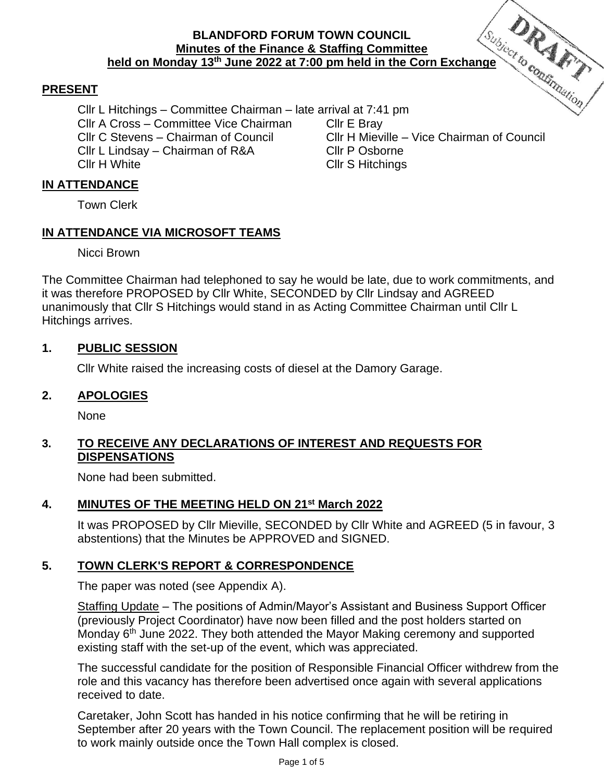# **BLANDFORD FORUM TOWN COUNCIL Minutes of the Finance & Staffing Committee held on Monday 13<sup>th</sup> June 2022 at 7:00 pm held in the Corn Exchange**<br> **held on Monday 13<sup>th</sup> June 2022 at 7:00 pm held in the Corn Exchange**

#### **PRESENT**

Cllr L Hitchings – Committee Chairman – late arrival at 7:41 pm Cllr A Cross – Committee Vice Chairman Cllr E Bray Cllr C Stevens – Chairman of Council Cllr H Mieville – Vice Chairman of Council Cllr L Lindsay – Chairman of R&A Cllr P Osborne Cllr H White Cllr S Hitchings

#### **IN ATTENDANCE**

Town Clerk

#### **IN ATTENDANCE VIA MICROSOFT TEAMS**

Nicci Brown

The Committee Chairman had telephoned to say he would be late, due to work commitments, and it was therefore PROPOSED by Cllr White, SECONDED by Cllr Lindsay and AGREED unanimously that Cllr S Hitchings would stand in as Acting Committee Chairman until Cllr L Hitchings arrives.

#### **1. PUBLIC SESSION**

Cllr White raised the increasing costs of diesel at the Damory Garage.

#### **2. APOLOGIES**

None

#### **3. TO RECEIVE ANY DECLARATIONS OF INTEREST AND REQUESTS FOR DISPENSATIONS**

None had been submitted.

#### **4. MINUTES OF THE MEETING HELD ON 21st March 2022**

It was PROPOSED by Cllr Mieville, SECONDED by Cllr White and AGREED (5 in favour, 3 abstentions) that the Minutes be APPROVED and SIGNED.

#### **5. TOWN CLERK'S REPORT & CORRESPONDENCE**

The paper was noted (see Appendix A).

Staffing Update – The positions of Admin/Mayor's Assistant and Business Support Officer (previously Project Coordinator) have now been filled and the post holders started on Monday 6<sup>th</sup> June 2022. They both attended the Mayor Making ceremony and supported existing staff with the set-up of the event, which was appreciated.

The successful candidate for the position of Responsible Financial Officer withdrew from the role and this vacancy has therefore been advertised once again with several applications received to date.

Caretaker, John Scott has handed in his notice confirming that he will be retiring in September after 20 years with the Town Council. The replacement position will be required to work mainly outside once the Town Hall complex is closed.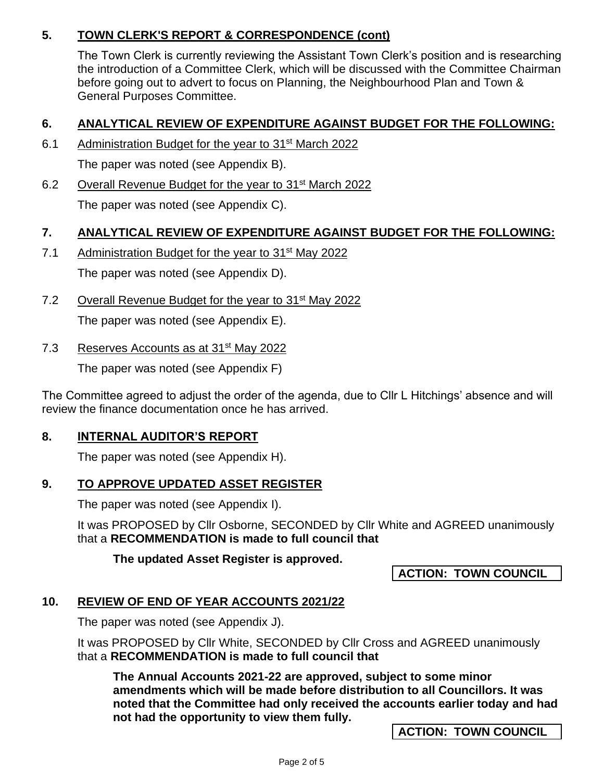# **5. TOWN CLERK'S REPORT & CORRESPONDENCE (cont)**

The Town Clerk is currently reviewing the Assistant Town Clerk's position and is researching the introduction of a Committee Clerk, which will be discussed with the Committee Chairman before going out to advert to focus on Planning, the Neighbourhood Plan and Town & General Purposes Committee.

# **6. ANALYTICAL REVIEW OF EXPENDITURE AGAINST BUDGET FOR THE FOLLOWING:**

- 6.1 Administration Budget for the year to 31<sup>st</sup> March 2022 The paper was noted (see Appendix B).
- 6.2 Overall Revenue Budget for the year to 31st March 2022 The paper was noted (see Appendix C).

#### **7. ANALYTICAL REVIEW OF EXPENDITURE AGAINST BUDGET FOR THE FOLLOWING:**

7.1 Administration Budget for the year to 31<sup>st</sup> May 2022

The paper was noted (see Appendix D).

7.2 Overall Revenue Budget for the year to 31<sup>st</sup> May 2022

The paper was noted (see Appendix E).

7.3 Reserves Accounts as at 31<sup>st</sup> May 2022

The paper was noted (see Appendix F)

The Committee agreed to adjust the order of the agenda, due to Cllr L Hitchings' absence and will review the finance documentation once he has arrived.

#### **8. INTERNAL AUDITOR'S REPORT**

The paper was noted (see Appendix H).

# **9. TO APPROVE UPDATED ASSET REGISTER**

The paper was noted (see Appendix I).

It was PROPOSED by Cllr Osborne, SECONDED by Cllr White and AGREED unanimously that a **RECOMMENDATION is made to full council that**

**The updated Asset Register is approved.** 

# **ACTION: TOWN COUNCIL**

# **10. REVIEW OF END OF YEAR ACCOUNTS 2021/22**

The paper was noted (see Appendix J).

It was PROPOSED by Cllr White, SECONDED by Cllr Cross and AGREED unanimously that a **RECOMMENDATION is made to full council that**

**The Annual Accounts 2021-22 are approved, subject to some minor amendments which will be made before distribution to all Councillors. It was noted that the Committee had only received the accounts earlier today and had not had the opportunity to view them fully.** 

**ACTION: TOWN COUNCIL**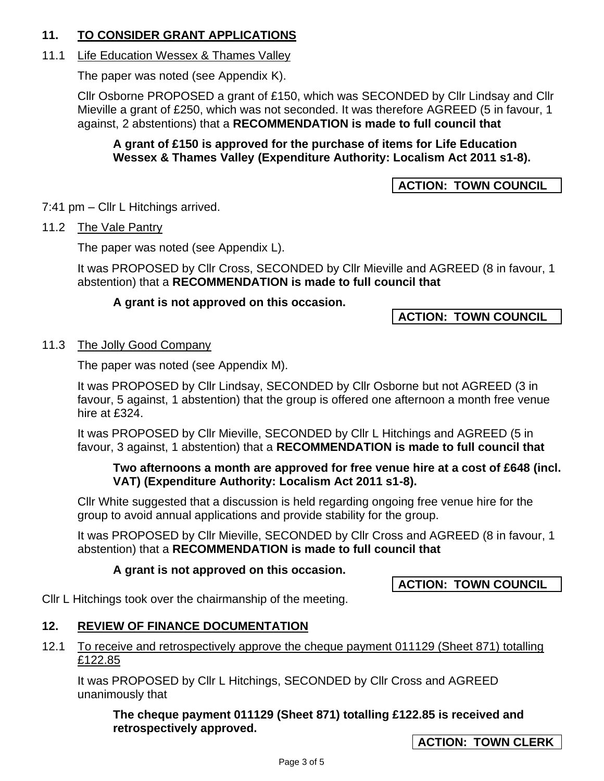# **11. TO CONSIDER GRANT APPLICATIONS**

# 11.1 Life Education Wessex & Thames Valley

The paper was noted (see Appendix K).

Cllr Osborne PROPOSED a grant of £150, which was SECONDED by Cllr Lindsay and Cllr Mieville a grant of £250, which was not seconded. It was therefore AGREED (5 in favour, 1 against, 2 abstentions) that a **RECOMMENDATION is made to full council that**

#### **A grant of £150 is approved for the purchase of items for Life Education Wessex & Thames Valley (Expenditure Authority: Localism Act 2011 s1-8).**

# **ACTION: TOWN COUNCIL**

7:41 pm – Cllr L Hitchings arrived.

#### 11.2 The Vale Pantry

The paper was noted (see Appendix L).

It was PROPOSED by Cllr Cross, SECONDED by Cllr Mieville and AGREED (8 in favour, 1 abstention) that a **RECOMMENDATION is made to full council that**

#### **A grant is not approved on this occasion.**

# **ACTION: TOWN COUNCIL**

#### 11.3 The Jolly Good Company

The paper was noted (see Appendix M).

It was PROPOSED by Cllr Lindsay, SECONDED by Cllr Osborne but not AGREED (3 in favour, 5 against, 1 abstention) that the group is offered one afternoon a month free venue hire at £324.

It was PROPOSED by Cllr Mieville, SECONDED by Cllr L Hitchings and AGREED (5 in favour, 3 against, 1 abstention) that a **RECOMMENDATION is made to full council that** 

#### **Two afternoons a month are approved for free venue hire at a cost of £648 (incl. VAT) (Expenditure Authority: Localism Act 2011 s1-8).**

Cllr White suggested that a discussion is held regarding ongoing free venue hire for the group to avoid annual applications and provide stability for the group.

It was PROPOSED by Cllr Mieville, SECONDED by Cllr Cross and AGREED (8 in favour, 1 abstention) that a **RECOMMENDATION is made to full council that** 

#### **A grant is not approved on this occasion.**

**ACTION: TOWN COUNCIL**

Cllr L Hitchings took over the chairmanship of the meeting.

# **12. REVIEW OF FINANCE DOCUMENTATION**

#### 12.1 To receive and retrospectively approve the cheque payment 011129 (Sheet 871) totalling £122.85

It was PROPOSED by Cllr L Hitchings, SECONDED by Cllr Cross and AGREED unanimously that

#### **The cheque payment 011129 (Sheet 871) totalling £122.85 is received and retrospectively approved.**

**ACTION: TOWN CLERK**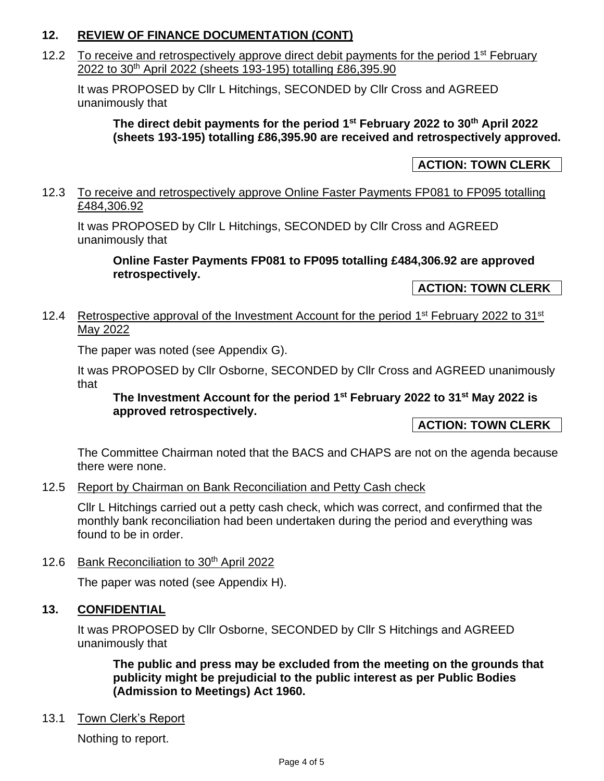# **12. REVIEW OF FINANCE DOCUMENTATION (CONT)**

12.2 To receive and retrospectively approve direct debit payments for the period 1<sup>st</sup> February 2022 to 30th April 2022 (sheets 193-195) totalling £86,395.90

It was PROPOSED by Cllr L Hitchings, SECONDED by Cllr Cross and AGREED unanimously that

**The direct debit payments for the period 1 st February 2022 to 30th April 2022 (sheets 193-195) totalling £86,395.90 are received and retrospectively approved.** 

## **ACTION: TOWN CLERK**

#### 12.3 To receive and retrospectively approve Online Faster Payments FP081 to FP095 totalling £484,306.92

It was PROPOSED by Cllr L Hitchings, SECONDED by Cllr Cross and AGREED unanimously that

**Online Faster Payments FP081 to FP095 totalling £484,306.92 are approved retrospectively.** 

**ACTION: TOWN CLERK**

#### 12.4 Retrospective approval of the Investment Account for the period 1<sup>st</sup> February 2022 to 31<sup>st</sup> May 2022

The paper was noted (see Appendix G).

It was PROPOSED by Cllr Osborne, SECONDED by Cllr Cross and AGREED unanimously that

#### **The Investment Account for the period 1 st February 2022 to 31st May 2022 is approved retrospectively.**

#### **ACTION: TOWN CLERK**

The Committee Chairman noted that the BACS and CHAPS are not on the agenda because there were none.

#### 12.5 Report by Chairman on Bank Reconciliation and Petty Cash check

Cllr L Hitchings carried out a petty cash check, which was correct, and confirmed that the monthly bank reconciliation had been undertaken during the period and everything was found to be in order.

12.6 Bank Reconciliation to 30<sup>th</sup> April 2022

The paper was noted (see Appendix H).

# **13. CONFIDENTIAL**

It was PROPOSED by Cllr Osborne, SECONDED by Cllr S Hitchings and AGREED unanimously that

**The public and press may be excluded from the meeting on the grounds that publicity might be prejudicial to the public interest as per Public Bodies (Admission to Meetings) Act 1960.**

#### 13.1 Town Clerk's Report

Nothing to report.